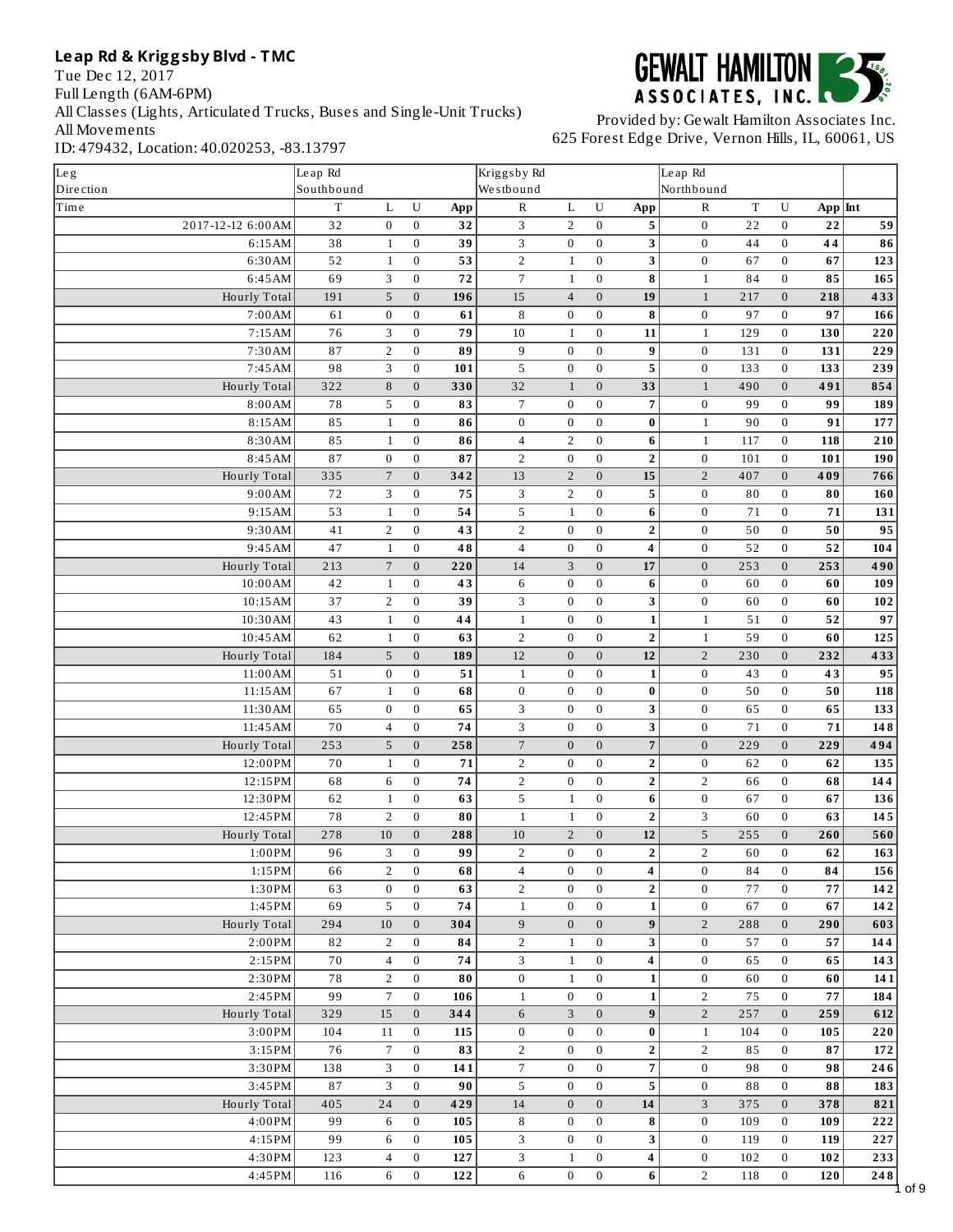Tue Dec 12, 2017 Full Length (6AM-6PM) All Classes (Lights, Articulated Trucks, Buses and Single-Unit Trucks) All Movements ID: 479432, Location: 40.020253, -83.13797



| Leg                 | Le ap Rd        |                  |                  |     | Kriggsby Rd      |                  |                  |                          | Le ap Rd         |             |                  |           |                     |
|---------------------|-----------------|------------------|------------------|-----|------------------|------------------|------------------|--------------------------|------------------|-------------|------------------|-----------|---------------------|
| Dire ction          | Southbound      |                  |                  |     | Westbound        |                  |                  |                          | Northbound       |             |                  |           |                     |
| Time                | $\mathbf T$     | L                | ${\bf U}$        | App | $\mathbb R$      | L                | U                | App                      | $\mathbb R$      | $\mathbf T$ | ${\bf U}$        | $App$ Int |                     |
| 2017-12-12 6:00 AM  | 32              | $\boldsymbol{0}$ | $\boldsymbol{0}$ | 32  | 3                | $\overline{2}$   | $\mathbf{0}$     | 5                        | $\boldsymbol{0}$ | 22          | $\bf{0}$         | 22        | 59                  |
| 6:15AM              | 38              | $1\,$            | $\boldsymbol{0}$ | 39  | 3                | $\bf{0}$         | $\bf{0}$         | 3                        | $\boldsymbol{0}$ | 44          | $\bf{0}$         | 44        | $\overline{\bf 86}$ |
| 6:30AM              | 52              | $1\,$            | $\boldsymbol{0}$ | 53  | $\sqrt{2}$       | $1\,$            | $\boldsymbol{0}$ | 3                        | $\boldsymbol{0}$ | 67          | $\boldsymbol{0}$ | 67        | $\overline{123}$    |
| 6:45AM              | 69              | 3                | $\boldsymbol{0}$ | 72  | $\overline{7}$   | $\mathbf{1}$     | $\boldsymbol{0}$ | 8                        | $\mathbf 1$      | 84          | $\boldsymbol{0}$ | 85        | 165                 |
| Hourly Total        | 191             | 5                | $\overline{0}$   | 196 | 15               | $\overline{4}$   | $\mathbf{0}$     | 19                       | $\mathbf{1}$     | 217         | $\mathbf{0}$     | 218       | 433                 |
| 7:00AM              | 61              | $\boldsymbol{0}$ | $\boldsymbol{0}$ | 61  | 8                | $\bf{0}$         | $\boldsymbol{0}$ | 8                        | $\boldsymbol{0}$ | 97          | $\boldsymbol{0}$ | 97        | 166                 |
| 7:15AM              | 76              | 3                | $\boldsymbol{0}$ | 79  | 10               | $\mathbf{1}$     | $\boldsymbol{0}$ | 11                       | $\mathbf{1}$     | 129         | $\boldsymbol{0}$ | 130       | 220                 |
| 7:30AM              | 87              | $\overline{2}$   | $\boldsymbol{0}$ | 89  | 9                | $\bf{0}$         | $\bf{0}$         | 9                        | $\boldsymbol{0}$ | 131         | $\boldsymbol{0}$ | 131       | 229                 |
| 7:45AM              | 98              | 3                | $\overline{0}$   | 101 | 5                | $\bf{0}$         | $\mathbf{0}$     | 5                        | $\boldsymbol{0}$ | 133         | $\boldsymbol{0}$ | 133       | 239                 |
| Hourly Total        | 322             | 8                | $\overline{0}$   | 330 | 32               | $\mathbf{1}$     | $\mathbf{0}$     | 33                       | $\mathbf{1}$     | 490         | $\boldsymbol{0}$ | 491       | 854                 |
| 8:00AM              | 78              | 5                | $\overline{0}$   | 83  | $\overline{7}$   | $\bf{0}$         | $\boldsymbol{0}$ | $\overline{\phantom{a}}$ | $\boldsymbol{0}$ | 99          | $\boldsymbol{0}$ | 99        | 189                 |
| 8:15AM              | 85              | $\mathbf{1}$     | $\boldsymbol{0}$ | 86  | $\boldsymbol{0}$ | $\bf{0}$         | $\boldsymbol{0}$ | $\pmb{0}$                | $1\,$            | 90          | $\boldsymbol{0}$ | 91        | 177                 |
| 8:30AM              | 85              | $1\,$            | $\boldsymbol{0}$ | 86  | $\overline{4}$   | $\overline{2}$   | $\boldsymbol{0}$ | $\bf 6$                  | $1\,$            | 117         | $\boldsymbol{0}$ | 118       | 210                 |
| 8:45AM              | 87              | $\boldsymbol{0}$ | $\boldsymbol{0}$ | 87  | $\overline{2}$   | $\boldsymbol{0}$ | $\mathbf{0}$     | $\overline{2}$           | $\boldsymbol{0}$ | 101         | $\boldsymbol{0}$ | 101       | 190                 |
| Hourly Total        | 335             | $\overline{7}$   | $\boldsymbol{0}$ | 342 | 13               | $\overline{2}$   | $\boldsymbol{0}$ | 15                       | $\overline{2}$   | 407         | $\boldsymbol{0}$ | 409       | 766                 |
| 9:00AM              | 72              | 3                | $\boldsymbol{0}$ | 75  | 3                | $\overline{2}$   | $\boldsymbol{0}$ | 5                        | $\boldsymbol{0}$ | 80          | $\boldsymbol{0}$ | 80        | 160                 |
| 9:15AM              | $\overline{53}$ | $\mathbf{1}$     | $\boldsymbol{0}$ | 54  | 5                | $\mathbf{1}$     | $\boldsymbol{0}$ | $6\phantom{1}$           | $\overline{0}$   | 71          | $\boldsymbol{0}$ | 71        | 131                 |
| 9:30AM              | 41              | $\overline{2}$   | $\boldsymbol{0}$ | 43  | $\overline{2}$   | $\boldsymbol{0}$ | $\boldsymbol{0}$ | $\mathbf 2$              | $\boldsymbol{0}$ | 50          | $\boldsymbol{0}$ | 50        | 95                  |
| 9:45AM              | 47              | $\mathbf{1}$     | $\boldsymbol{0}$ | 48  | $\overline{4}$   | $\bf{0}$         | $\boldsymbol{0}$ | 4                        | $\overline{0}$   | 52          | $\boldsymbol{0}$ | 52        | 104                 |
| Hourly Total        | 213             | $\sqrt{ }$       | $\mathbf 0$      | 220 | 14               | 3                | $\mathbf{0}$     | 17                       | $\overline{0}$   | 253         | $\boldsymbol{0}$ | 253       | 490                 |
| 10:00 AM            | 42              | $1\,$            | $\boldsymbol{0}$ | 43  | $\,6\,$          | $\bf{0}$         | $\bf{0}$         | $\bf 6$                  | $\boldsymbol{0}$ | 60          | $\boldsymbol{0}$ | 60        | 109                 |
| 10:15 AM            | 37              | $\overline{2}$   | $\boldsymbol{0}$ | 39  | 3                | $\bf{0}$         | $\mathbf{0}$     | 3                        | $\boldsymbol{0}$ | 60          | $\boldsymbol{0}$ | 60        | $102$               |
| 10:30AM             | 43              | $1\,$            | $\overline{0}$   | 44  | $1\,$            | $\boldsymbol{0}$ | $\boldsymbol{0}$ | $\mathbf 1$              | $\mathbf{1}$     | 51          | $\boldsymbol{0}$ | 52        | 97                  |
| 10:45AM             | 62              | $\mathbf{1}$     | $\boldsymbol{0}$ | 63  | $\overline{2}$   | $\boldsymbol{0}$ | $\bf{0}$         | $\overline{\mathbf{2}}$  | $1\,$            | 59          | $\bf{0}$         | 60        | 125                 |
| Hourly Total        | 184             | 5                | $\boldsymbol{0}$ | 189 | 12               | $\mathbf{0}$     | $\mathbf{0}$     | 12                       | $\overline{2}$   | 230         | $\boldsymbol{0}$ | 232       | 433                 |
| 11:00 AM            | 51              | $\boldsymbol{0}$ | $\boldsymbol{0}$ | 51  | $\mathbf{1}$     | $\bf{0}$         | $\bf{0}$         | $\mathbf 1$              | $\boldsymbol{0}$ | 43          | $\boldsymbol{0}$ | 43        | 95                  |
| 11:15 AM            | 67              | $1\,$            | $\boldsymbol{0}$ | 68  | $\boldsymbol{0}$ | $\bf{0}$         | $\bf{0}$         | $\bf{0}$                 | $\boldsymbol{0}$ | 50          | $\bf{0}$         | 50        | 118                 |
| 11:30 AM            | 65              | $\boldsymbol{0}$ | $\boldsymbol{0}$ | 65  | 3                | $\bf{0}$         | $\boldsymbol{0}$ | 3                        | $\boldsymbol{0}$ | 65          | $\boldsymbol{0}$ | 65        | 133                 |
| 11:45 AM            | 70              | $\overline{4}$   | $\boldsymbol{0}$ | 74  | 3                | $\mathbf{0}$     | $\mathbf{0}$     | 3                        | $\boldsymbol{0}$ | 71          | $\boldsymbol{0}$ | 71        | 148                 |
| Hourly Total        | 253             | $\overline{5}$   | $\mathbf 0$      | 258 | $\sqrt{ }$       | $\boldsymbol{0}$ | $\mathbf{0}$     | $\overline{7}$           | $\boldsymbol{0}$ | 229         | $\boldsymbol{0}$ | 229       | 494                 |
| 12:00PM             | 70              | $\mathbf{1}$     | $\boldsymbol{0}$ | 71  | $\overline{2}$   | $\bf{0}$         | $\boldsymbol{0}$ | $\bf 2$                  | $\boldsymbol{0}$ | 62          | $\boldsymbol{0}$ | 62        | 135                 |
| 12:15PM             | 68              | 6                | $\boldsymbol{0}$ | 74  | $\overline{2}$   | $\boldsymbol{0}$ | $\boldsymbol{0}$ | $\mathbf 2$              | $\overline{2}$   | 66          | $\boldsymbol{0}$ | 68        | 144                 |
| 12:30PM             | 62              | $1\,$            | $\boldsymbol{0}$ | 63  | 5                | $1\,$            | $\mathbf{0}$     | $6\phantom{1}$           | $\boldsymbol{0}$ | 67          | $\boldsymbol{0}$ | 67        | 136                 |
| 12:45PM             | 78              | $\overline{2}$   | $\bf{0}$         | 80  | $1\,$            | $\mathbf{1}$     | $\bf{0}$         | $\overline{2}$           | 3                | 60          | $\boldsymbol{0}$ | 63        | 145                 |
| Hourly Total        | 278             | $10\,$           | $\overline{0}$   | 288 | $10\,$           | $\overline{2}$   | $\overline{0}$   | 12                       | 5                | 255         | $\boldsymbol{0}$ | 260       | 560                 |
| $1:00\mathrm{\,PM}$ | 96              | 3                | $\overline{0}$   | 99  | $\sqrt{2}$       | $\mathbf{0}$     | $\boldsymbol{0}$ | $\overline{\mathbf{2}}$  | $\overline{2}$   | 60          | $\Omega$         | 62        | 163                 |
| 1:15PM              | 66              | 2                | $\boldsymbol{0}$ | 68  | 4                | $\boldsymbol{0}$ | $\bf{0}$         | 4                        | $\boldsymbol{0}$ | 84          | $\boldsymbol{0}$ | 84        | 156                 |
| 1:30PM              | 63              | $\boldsymbol{0}$ | $\boldsymbol{0}$ | 63  | $\overline{2}$   | $\boldsymbol{0}$ | $\bf{0}$         | $\overline{2}$           | $\boldsymbol{0}$ | 77          | $\bf{0}$         | 77        | 142                 |
| 1:45PM              | 69              | 5                | $\mathbf{0}$     | 74  | $\mathbf{1}$     | $\bf{0}$         | $\overline{0}$   | $\mathbf{1}$             | $\boldsymbol{0}$ | 67          | $\bf{0}$         | 67        | 142                 |
| Hourly Total        | 294             | $10\,$           | $\mathbf{0}$     | 304 | $\boldsymbol{9}$ | $\mathbf{0}$     | $\mathbf{0}$     | 9                        | $\sqrt{2}$       | 288         | $\mathbf{0}$     | 290       | 603                 |
| 2:00PM              | 82              | $\overline{2}$   | $\boldsymbol{0}$ | 84  | $\overline{2}$   | $1\,$            | $\overline{0}$   | 3                        | $\boldsymbol{0}$ | 57          | $\boldsymbol{0}$ | 57        | 144                 |
| 2:15PM              | 70              | $\overline{4}$   | $\boldsymbol{0}$ | 74  | 3                | $\mathbf{1}$     | $\mathbf{0}$     | $\overline{\mathbf{4}}$  | $\boldsymbol{0}$ | 65          | $\bf{0}$         | 65        | 143                 |
| 2:30PM              | 78              | $\overline{2}$   | $\boldsymbol{0}$ | 80  | $\boldsymbol{0}$ | $\mathbf{1}$     | $\boldsymbol{0}$ | $\mathbf{1}$             | $\boldsymbol{0}$ | 60          | $\boldsymbol{0}$ | 60        | 141                 |
| 2:45PM              | 99              | $\overline{7}$   | $\boldsymbol{0}$ | 106 | $\mathbf{1}$     | $\bf{0}$         | $\mathbf{0}$     | $\mathbf{1}$             | $\overline{2}$   | 75          | $\boldsymbol{0}$ | 77        | 184                 |
| Hourly Total        | 329             | 15               | $\mathbf{0}$     | 344 | $6\phantom{1}$   | 3                | $\mathbf{0}$     | $\bf{9}$                 | $\overline{2}$   | 257         | $\mathbf{0}$     | 259       | 612                 |
| 3:00PM              | 104             | 11               | $\boldsymbol{0}$ | 115 | $\boldsymbol{0}$ | $\bf{0}$         | $\overline{0}$   | $\bf{0}$                 | $1\,$            | 104         | $\boldsymbol{0}$ | 105       | 220                 |
| 3:15PM              | 76              | $\sqrt{2}$       | $\boldsymbol{0}$ | 83  | $\overline{2}$   | $\boldsymbol{0}$ | $\overline{0}$   | $\mathbf 2$              | $\overline{2}$   | 85          | $\boldsymbol{0}$ | 87        | 172                 |
| 3:30PM              | 138             | 3                | $\bf{0}$         | 141 | $\overline{7}$   | $\bf{0}$         | $\bf{0}$         | $\sqrt{7}$               | $\boldsymbol{0}$ | 98          | $\bf{0}$         | 98        | 246                 |
| 3:45PM              | 87              | 3                | $\mathbf{0}$     | 90  | 5                | $\bf{0}$         | $\overline{0}$   | 5                        | $\boldsymbol{0}$ | $8\,8$      | $\bf{0}$         | 88        | 183                 |
| Hourly Total        | 405             | 24               | $\mathbf{0}$     | 429 | 14               | $\boldsymbol{0}$ | $\overline{0}$   | 14                       | 3                | 375         | $\mathbf{0}$     | 378       | 821                 |
| 4:00PM              | 99              | 6                | $\bf{0}$         | 105 | 8                | $\bf{0}$         | $\bf{0}$         | 8                        | $\boldsymbol{0}$ | 109         | $\bf{0}$         | 109       | 222                 |
| 4:15PM              | 99              | 6                | $\bf{0}$         | 105 | 3                | $\bf{0}$         | $\boldsymbol{0}$ | 3                        | $\boldsymbol{0}$ | 119         | $\bf{0}$         | 119       | 227                 |
| 4:30PM              | 123             | $\overline{4}$   | $\bf{0}$         | 127 | 3                | $\mathbf{1}$     | $\bf{0}$         | 4                        | $\boldsymbol{0}$ | 102         | $\boldsymbol{0}$ | 102       | 233                 |
| 4:45PM              | 116             | 6                | $\boldsymbol{0}$ | 122 | $\,6\,$          | $\boldsymbol{0}$ | $\mathbf{0}$     | 6                        | $\overline{2}$   | 118         | $\bf{0}$         | 120       | $\bf 24\,8$         |
|                     |                 |                  |                  |     |                  |                  |                  |                          |                  |             |                  |           |                     |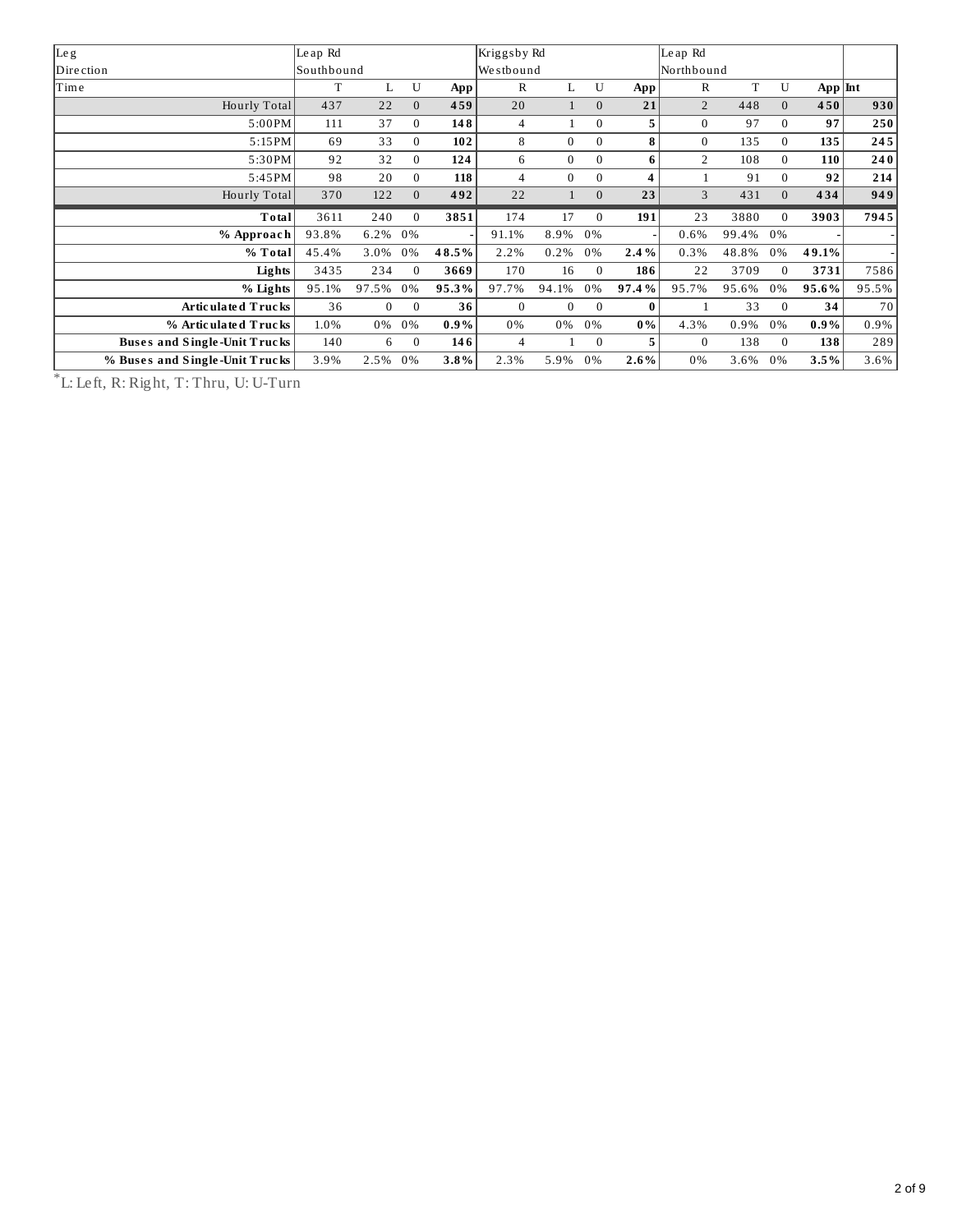| Leg                          | Le ap Rd   |          |                |         | Kriggsby Rd  |                |                |       | Le ap Rd     |       |          |           |       |
|------------------------------|------------|----------|----------------|---------|--------------|----------------|----------------|-------|--------------|-------|----------|-----------|-------|
| Dire ction                   | Southbound |          |                |         | Westbound    |                |                |       | Northbound   |       |          |           |       |
| Time                         | T          | L.       | U              | App     | R            | L              | U              | App   | $\mathbb{R}$ | T     | U        | $App$ Int |       |
| Hourly Total                 | 437        | 22       | $\overline{0}$ | 459     | 20           |                | $\mathbf{0}$   | 21    | 2            | 448   | $\Omega$ | 450       | 930   |
| 5:00PM                       | 111        | 37       | $\mathbf{0}$   | 148     | 4            |                | $\Omega$       | 5.    | $\mathbf{0}$ | 97    | $\Omega$ | 97        | 250   |
| 5:15PM                       | 69         | 33       | $\mathbf{0}$   | 102     | 8            | $\Omega$       | $\Omega$       | 8     | $\mathbf{0}$ | 135   | $\Omega$ | 135       | 245   |
| 5:30PM                       | 92         | 32       | $\Omega$       | 124     | 6            | $\Omega$       | $\Omega$       | 6     | 2            | 108   | $\Omega$ | 110       | 240   |
| 5:45PM                       | 98         | 20       | $\mathbf{0}$   | 118     | 4            | $\overline{0}$ | $\Omega$       | 4     |              | 91    | $\Omega$ | 92        | 214   |
| Hourly Total                 | 370        | 122      | $\mathbf{0}$   | 492     | 22           |                | $\overline{0}$ | 23    | 3            | 431   | $\Omega$ | 434       | 949   |
|                              |            |          |                |         |              |                |                |       |              |       |          |           |       |
| Total                        | 3611       | 240      | $\Omega$       | 3851    | 174          | 17             | $\mathbf{0}$   | 191   | 23           | 3880  | $\Omega$ | 3903      | 7945  |
| % Approach                   | 93.8%      | 6.2%     | 0%             |         | 91.1%        | 8.9%           | 0%             |       | 0.6%         | 99.4% | 0%       |           |       |
| % Total                      | 45.4%      | 3.0%     | 0%             | 48.5%   | 2.2%         | 0.2%           | 0%             | 2.4%  | 0.3%         | 48.8% | 0%       | 49.1%     |       |
| Lights                       | 3435       | 234      | $\Omega$       | 3669    | 170          | 16             | $\overline{0}$ | 186   | 22           | 3709  | $\theta$ | 3731      | 7586  |
| % Lights                     | 95.1%      | 97.5%    | 0%             | 95.3%   | 97.7%        | 94.1%          | 0%             | 97.4% | 95.7%        | 95.6% | 0%       | 95.6%     | 95.5% |
| Articulated Trucks           | 36         | $\Omega$ | $\Omega$       | 36      | $\mathbf{0}$ | $\Omega$       | $\Omega$       | 0     |              | 33    | $\Omega$ | 34        | 70    |
| % Articulated Trucks         | 1.0%       | 0%       | 0%             | $0.9\%$ | 0%           | 0%             | 0%             | $0\%$ | 4.3%         | 0.9%  | 0%       | $0.9\%$   | 0.9%  |
| Buses and Single-Unit Trucks | 140        | 6        | $\mathbf{0}$   | 146     | 4            |                | $\mathbf{0}$   | 5.    | $\Omega$     | 138   | $\Omega$ | 138       | 289   |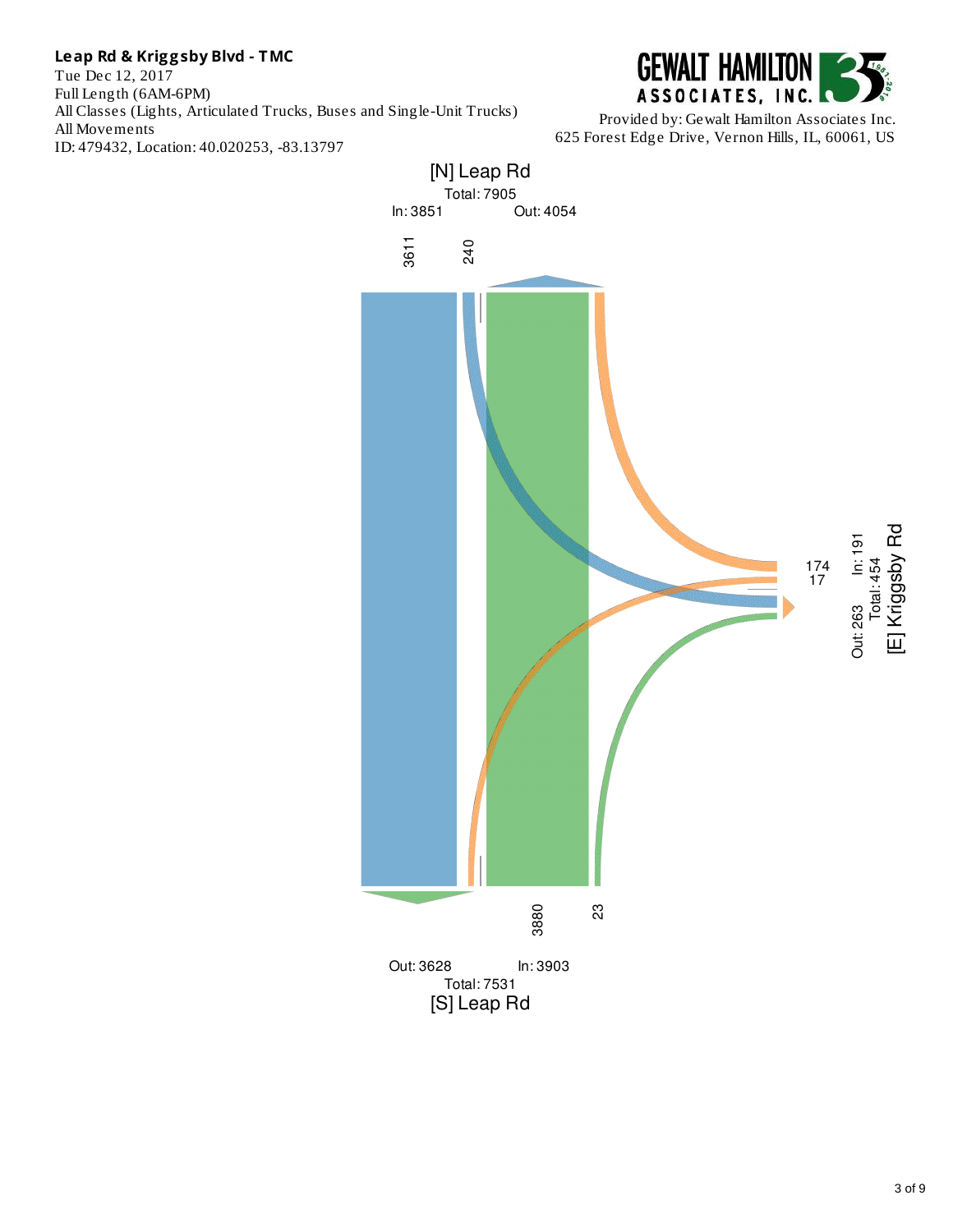Tue Dec 12, 2017 Full Length (6AM-6PM) All Classes (Lights, Articulated Trucks, Buses and Single-Unit Trucks) All Movements ID: 479432, Location: 40.020253, -83.13797



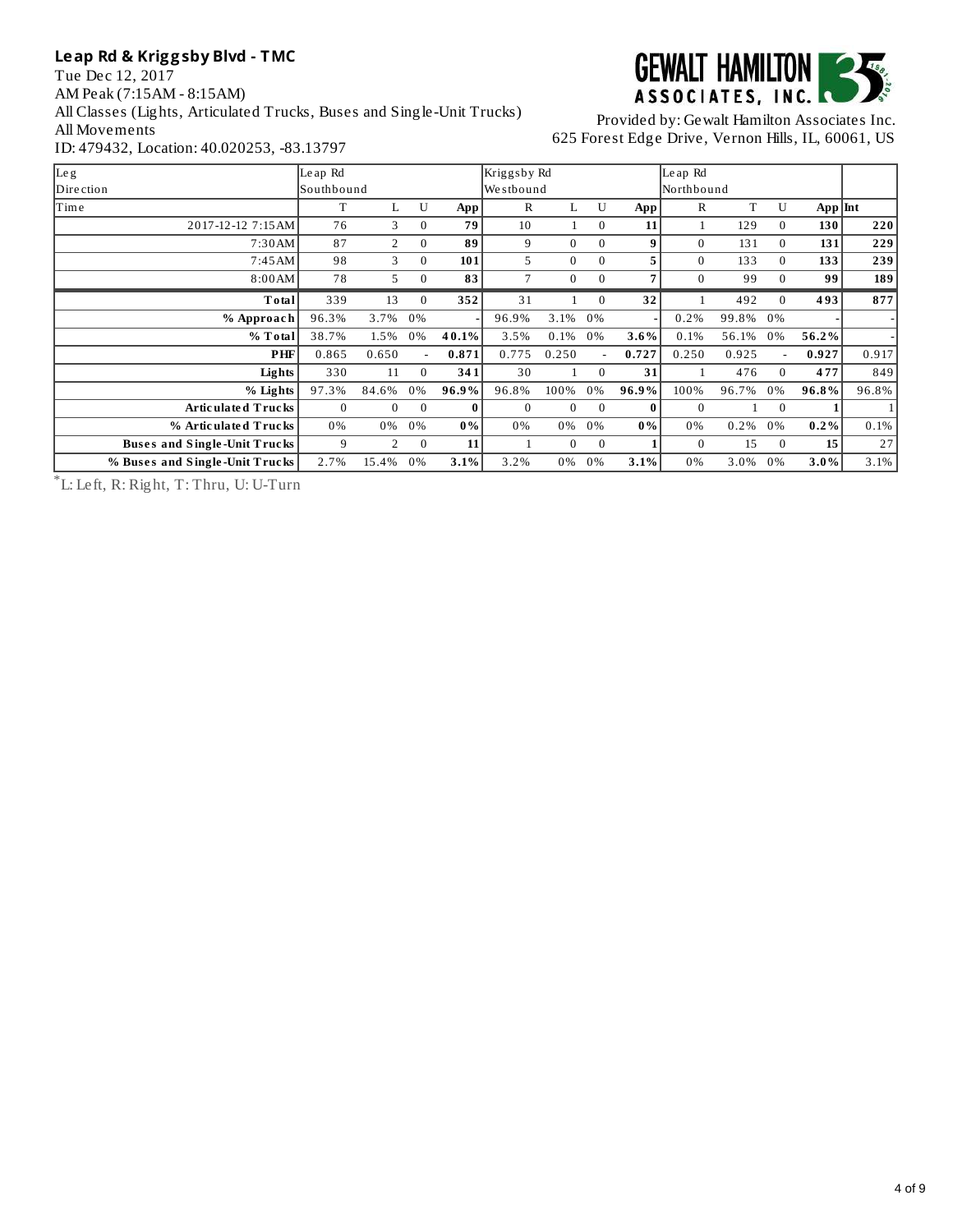Tue Dec 12, 2017 AM Peak (7:15AM - 8:15AM) All Classes (Lights, Articulated Trucks, Buses and Single-Unit Trucks) All Movements ID: 479432, Location: 40.020253, -83.13797



Provided by: Gewalt Hamilton Associates Inc. 625 Forest Edge Drive, Vernon Hills, IL, 60061, US

| Le g                           | Le ap Rd     |                |          |          | Kriggsby Rd     |              |              |          | Le ap Rd     |       |          |           |       |
|--------------------------------|--------------|----------------|----------|----------|-----------------|--------------|--------------|----------|--------------|-------|----------|-----------|-------|
| Dire ction                     | Southbound   |                |          |          | Westbound       |              |              |          | Northbound   |       |          |           |       |
| Time                           | T            | L              | U        | App      | R               | L.           | U            | App      | $\mathbb R$  | T     | U        | $App$ Int |       |
| 2017-12-12 7:15 AM             | 76           | 3              | $\theta$ | 79       | 10              | 1            | $\mathbf{0}$ | 11       | $\mathbf{1}$ | 129   | $\Omega$ | 130       | 220   |
| 7:30AM                         | 87           | 2              | $\theta$ | 89       | 9               | $\mathbf{0}$ | $\Omega$     | 9        | $\mathbf{0}$ | 131   | $\Omega$ | 131       | 229   |
| 7:45AM                         | 98           | 3              | $\Omega$ | 101      | 5               | $\mathbf{0}$ | $\Omega$     | 5        | $\Omega$     | 133   | $\Omega$ | 133       | 239   |
| 8:00AM                         | 78           | 5.             | $\Omega$ | 83       | $7\overline{ }$ | $\mathbf{0}$ | $\mathbf{0}$ | 7        | $\Omega$     | 99    | $\Omega$ | 99        | 189   |
| Total                          | 339          | 13             | $\theta$ | 352      | 31              |              | $\Omega$     | 32       |              | 492   | $\Omega$ | 493       | 877   |
| % Approach                     | 96.3%        | 3.7%           | 0%       |          | 96.9%           | 3.1%         | 0%           |          | 0.2%         | 99.8% | 0%       |           |       |
| % Total                        | 38.7%        | 1.5%           | 0%       | 40.1%    | 3.5%            | 0.1%         | 0%           | 3.6%     | 0.1%         | 56.1% | 0%       | 56.2%     |       |
| PHF                            | 0.865        | 0.650          |          | 0.871    | 0.775           | 0.250        |              | 0.727    | 0.250        | 0.925 |          | 0.927     | 0.917 |
| Lights                         | 330          | 11             | $\theta$ | 341      | 30              | 1            | $\mathbf{0}$ | 31       |              | 476   | $\Omega$ | 477       | 849   |
| % Lights                       | 97.3%        | 84.6%          | 0%       | 96.9%    | 96.8%           | 100%         | 0%           | 96.9%    | 100%         | 96.7% | 0%       | 96.8%     | 96.8% |
| Artic ulate d Trucks           | $\mathbf{0}$ | $\mathbf{0}$   | $\Omega$ | $\bf{0}$ | $\mathbf{0}$    | $\Omega$     | $\Omega$     | $\bf{0}$ | $\mathbf{0}$ |       | $\Omega$ |           |       |
| % Articulated Trucks           | 0%           | 0%             | 0%       | $0\%$    | 0%              | 0%           | 0%           | $0\%$    | 0%           | 0.2%  | 0%       | 0.2%      | 0.1%  |
| Buses and Single-Unit Trucks   | 9            | $\overline{2}$ | $\Omega$ | 11       |                 | $\mathbf{0}$ | $\mathbf{0}$ |          | $\Omega$     | 15    | $\Omega$ | 15        | 27    |
| % Buses and Single-Unit Trucks | 2.7%         | 15.4%          | 0%       | 3.1%     | 3.2%            | 0%           | 0%           | 3.1%     | 0%           | 3.0%  | 0%       | 3.0%      | 3.1%  |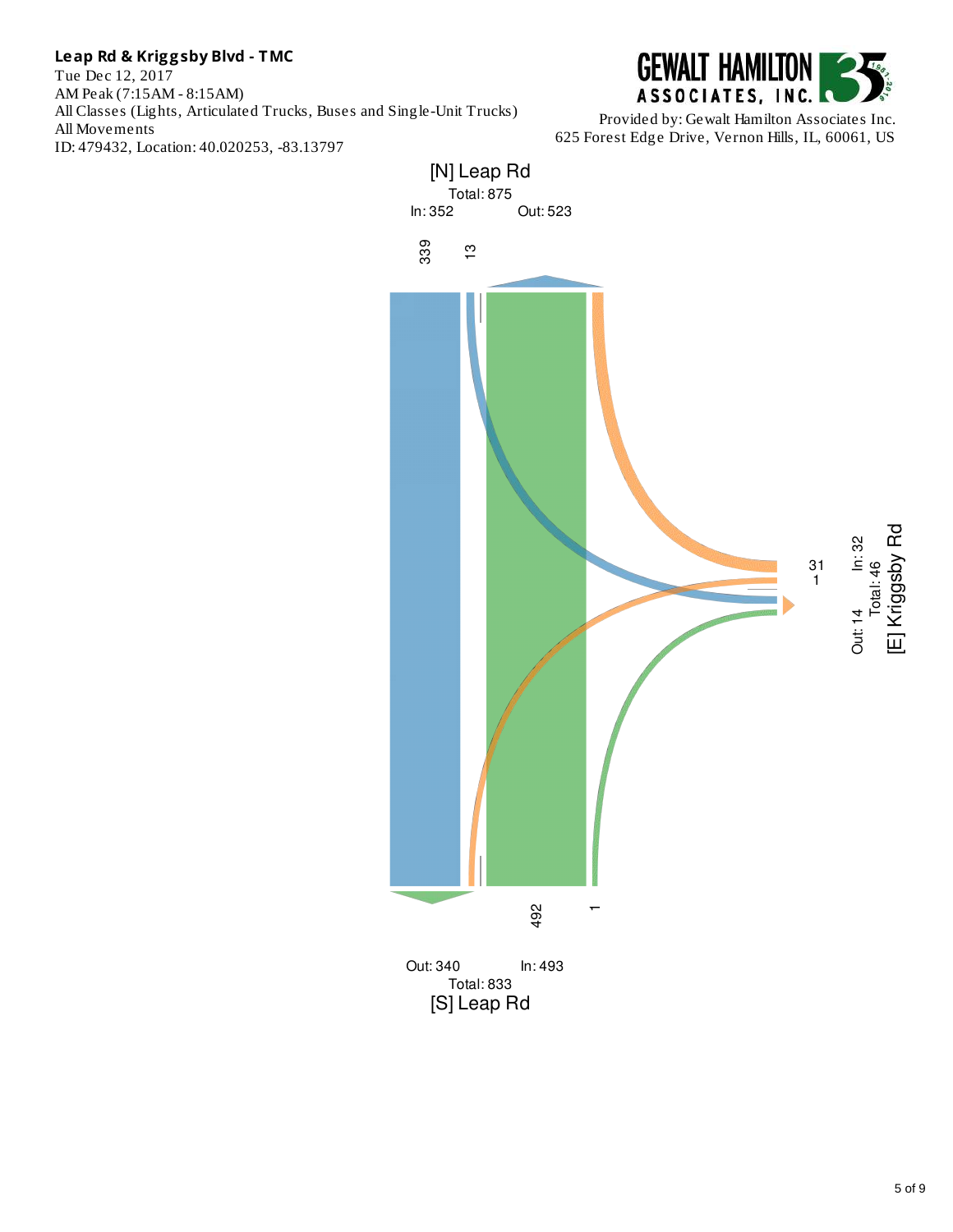Tue Dec 12, 2017 AM Peak (7:15AM - 8:15AM) All Classes (Lights, Articulated Trucks, Buses and Single-Unit Trucks) All Movements ID: 479432, Location: 40.020253, -83.13797



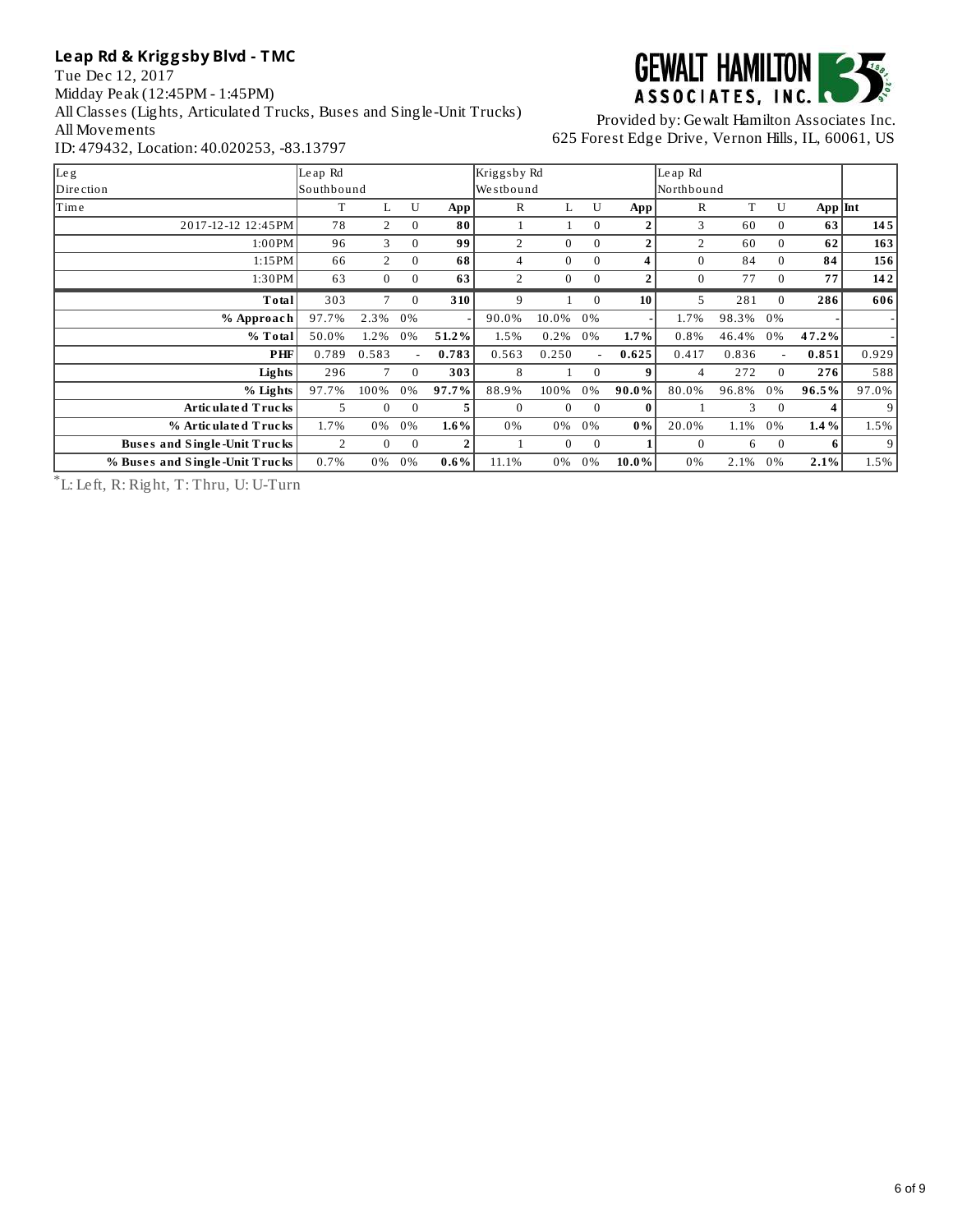Tue Dec 12, 2017 Midday Peak (12:45PM - 1:45PM) All Classes (Lights, Articulated Trucks, Buses and Single-Unit Trucks) All Movements ID: 479432, Location: 40.020253, -83.13797



#### Provided by: Gewalt Hamilton Associates Inc. 625 Forest Edge Drive, Vernon Hills, IL, 60061, US

| Le g                           | Le ap Rd       |                |              |                | Kriggsby Rd    |                |              |                | Le ap Rd     |       |                          |             |                |
|--------------------------------|----------------|----------------|--------------|----------------|----------------|----------------|--------------|----------------|--------------|-------|--------------------------|-------------|----------------|
| Dire ction                     | Southbound     |                |              |                | Westbound      |                |              |                | Northbound   |       |                          |             |                |
| Time                           | т              | L              | U            | App            | R              | L              | U            | App            | $\mathbb{R}$ | T     | U                        | $App$ $Int$ |                |
| 2017-12-12 12:45PM             | 78             | 2              | $\mathbf{0}$ | 80             | 1              |                | $\mathbf{0}$ | 2              | 3            | 60    | $\mathbf{0}$             | 63          | 145            |
| 1:00PM                         | 96             | 3              | $\Omega$     | 99             | 2              | $\Omega$       | $\Omega$     | $\overline{a}$ | 2            | 60    | $\Omega$                 | 62          | 163            |
| 1:15PM                         | 66             | $\overline{2}$ | $\Omega$     | 68             | 4              | $\Omega$       | $\Omega$     | 4              | $\Omega$     | 84    | $\Omega$                 | 84          | 156            |
| 1:30PM                         | 63             | $\mathbf{0}$   | $\mathbf{0}$ | 63             | $\overline{2}$ | $\overline{0}$ | $\mathbf{0}$ | $\overline{2}$ | $\mathbf{0}$ | 77    | $\mathbf{0}$             | 77          | 142            |
| Total                          | 303            | 7              | $\Omega$     | 310            | 9              |                | $\mathbf{0}$ | 10             | 5            | 281   | $\Omega$                 | 286         | 606            |
| % Approach                     | 97.7%          | 2.3%           | 0%           |                | 90.0%          | 10.0%          | 0%           |                | 1.7%         | 98.3% | 0%                       |             |                |
| % Total                        | 50.0%          | 1.2%           | 0%           | 51.2%          | 1.5%           | 0.2%           | 0%           | 1.7%           | 0.8%         | 46.4% | 0%                       | 47.2%       |                |
| PHF                            | 0.789          | 0.583          | $\sim$       | 0.783          | 0.563          | 0.250          | $\sim$       | 0.625          | 0.417        | 0.836 | $\overline{\phantom{a}}$ | 0.851       | 0.929          |
| Lights                         | 296            | 7              | $\Omega$     | 303            | 8              |                | $\mathbf{0}$ | 9              | 4            | 272   | $\Omega$                 | 276         | 588            |
| % Lights                       | 97.7%          | 100%           | 0%           | 97.7%          | 88.9%          | 100%           | 0%           | 90.0%          | 80.0%        | 96.8% | 0%                       | 96.5%       | 97.0%          |
| Articulated Trucks             | 5              | $\Omega$       | $\Omega$     | 5              | $\Omega$       | $\Omega$       | $\mathbf{0}$ | $\bf{0}$       |              | 3     | $\Omega$                 | 4           | 9 <sup>1</sup> |
| % Articulated Trucks           | 1.7%           | 0%             | 0%           | 1.6%           | 0%             | 0%             | 0%           | $0\%$          | 20.0%        | 1.1%  | 0%                       | 1.4 %       | 1.5%           |
| Buses and Single-Unit Trucks   | $\overline{2}$ | $\Omega$       | $\mathbf{0}$ | $\overline{2}$ |                | $\Omega$       | $\mathbf{0}$ |                | $\Omega$     | 6     | $\Omega$                 | - 6 l       | 9              |
| % Buses and Single-Unit Trucks | 0.7%           | 0%             | 0%           | $0.6\%$        | 11.1%          | 0%             | 0%           | 10.0%          | 0%           | 2.1%  | 0%                       | 2.1%        | 1.5%           |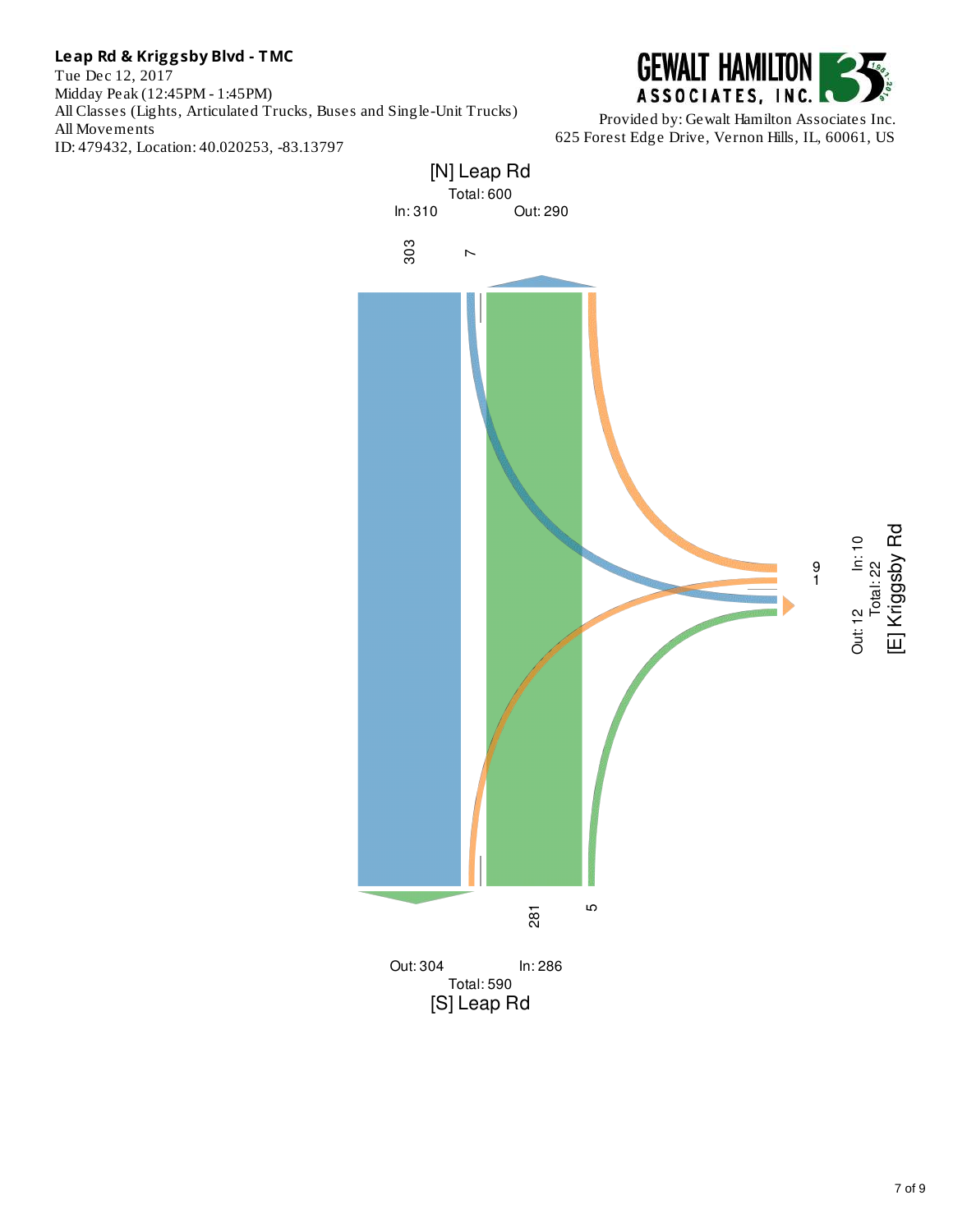Tue Dec 12, 2017 Midday Peak (12:45PM - 1:45PM) All Classes (Lights, Articulated Trucks, Buses and Single-Unit Trucks) All Movements ID: 479432, Location: 40.020253, -83.13797



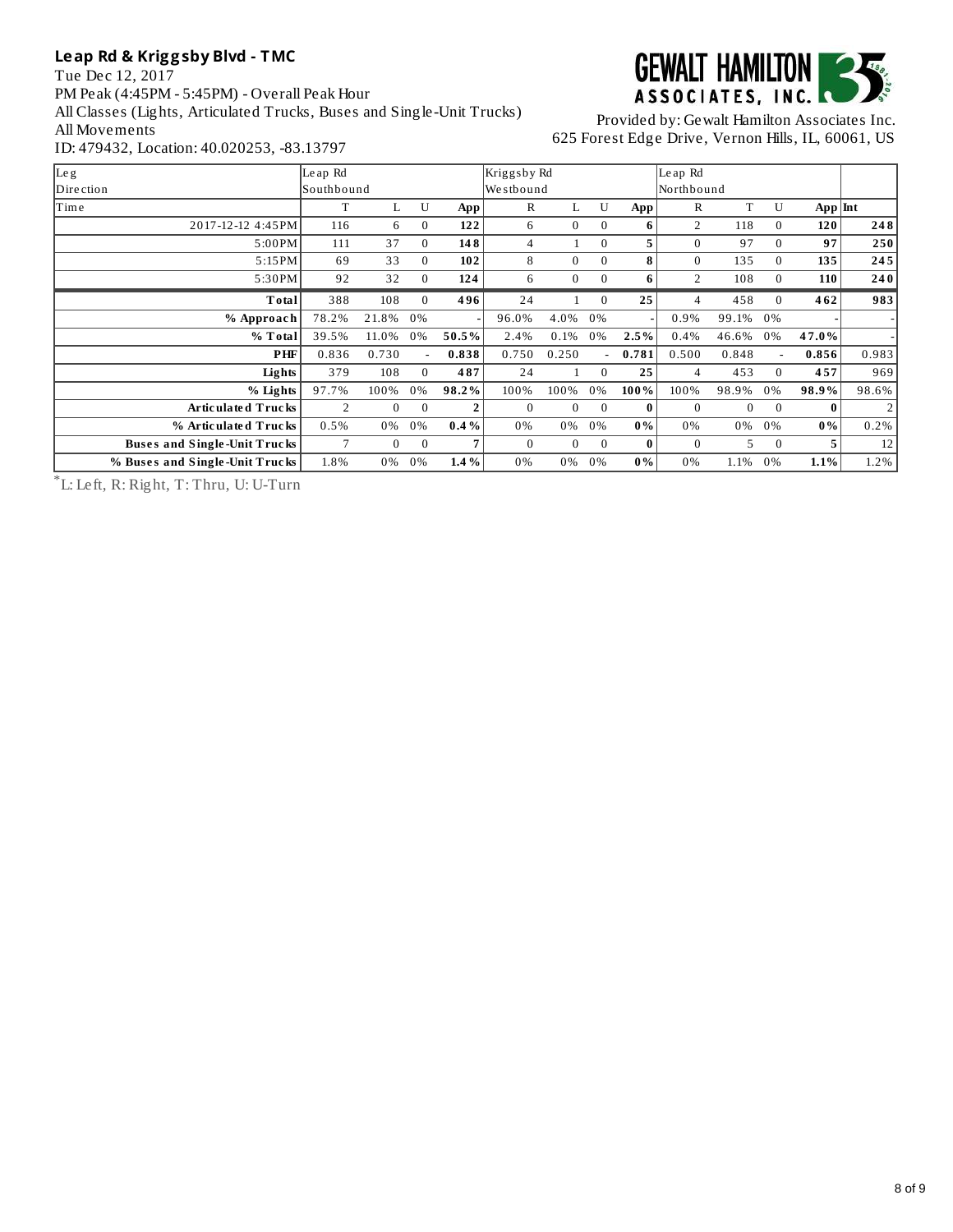Tue Dec 12, 2017 PM Peak (4:45PM - 5:45PM) - Overall Peak Hour All Classes (Lights, Articulated Trucks, Buses and Single-Unit Trucks) All Movements ID: 479432, Location: 40.020253, -83.13797



Provided by: Gewalt Hamilton Associates Inc. 625 Forest Edge Drive, Vernon Hills, IL, 60061, US

| Le g                           | Le ap Rd          |                |          |                | Kriggsby Rd  |              |              |              | Le ap Rd       |                |                |           |                |
|--------------------------------|-------------------|----------------|----------|----------------|--------------|--------------|--------------|--------------|----------------|----------------|----------------|-----------|----------------|
| Dire ction                     | <b>Southbound</b> |                |          |                | Westbound    |              |              |              | Northbound     |                |                |           |                |
| Time                           | T                 | L              | U        | App            | $\mathbb{R}$ | L            | U            | App          | $\mathbb{R}$   | T              | U              | $App$ Int |                |
| 2017-12-12 4:45PM              | 116               | 6              | $\Omega$ | 122            | 6            | $\mathbf{0}$ | $\Omega$     | 6            | 2              | 118            | $\Omega$       | 120       | 248            |
| 5:00PM                         | 111               | 37             | $\Omega$ | 148            | 4            |              | $\Omega$     | 5.           | 0              | 97             | $\Omega$       | 97        | 250            |
| 5:15PM                         | 69                | 33             | $\Omega$ | 102            | 8            | $\mathbf{0}$ | $\Omega$     | 8            | $\Omega$       | 135            | $\Omega$       | 135       | 245            |
| 5:30PM                         | 92                | 32             | $\Omega$ | 124            | 6            | $\mathbf{0}$ | $\mathbf{0}$ | 6            | $\overline{2}$ | 108            | $\mathbf{0}$   | 110       | 240            |
| Total                          | 388               | 108            | $\Omega$ | 496            | 24           |              | $\Omega$     | 25           | 4              | 458            | $\Omega$       | 462       | 983            |
| % Approach                     | 78.2%             | 21.8%          | 0%       |                | 96.0%        | 4.0%         | 0%           |              | 0.9%           | 99.1%          | 0%             |           |                |
| % Total                        | 39.5%             | 11.0%          | 0%       | 50.5%          | 2.4%         | 0.1%         | 0%           | 2.5%         | 0.4%           | 46.6%          | 0%             | 47.0%     |                |
| PHF                            | 0.836             | 0.730          |          | 0.838          | 0.750        | 0.250        | ۰.           | 0.781        | 0.500          | 0.848          | $\overline{a}$ | 0.856     | 0.983          |
| <b>Lights</b>                  | 379               | 108            | $\Omega$ | 487            | 24           |              | $\Omega$     | 25           | 4              | 453            | $\Omega$       | 457       | 969            |
| % Lights                       | 97.7%             | 100%           | 0%       | 98.2%          | 100%         | 100%         | 0%           | 100%         | 100%           | 98.9%          | 0%             | 98.9%     | 98.6%          |
| Articulated Trucks             | 2                 | $\overline{0}$ | $\Omega$ | $\overline{2}$ | $\mathbf{0}$ | $\mathbf{0}$ | $\Omega$     | $\mathbf{0}$ | $\Omega$       | $\overline{0}$ | $\mathbf{0}$   | 0         | $\overline{2}$ |
| % Articulated Trucks           | 0.5%              | 0%             | 0%       | $0.4\%$        | 0%           | 0%           | 0%           | $0\%$        | 0%             | 0%             | 0%             | $0\%$     | 0.2%           |
| Buses and Single-Unit Trucks   | 7                 | $\mathbf{0}$   | $\Omega$ | 7              | $\mathbf{0}$ | $\mathbf{0}$ | $\Omega$     | $\bf{0}$     | $\Omega$       | 5              | $\Omega$       | 5.        | 12             |
| % Buses and Single-Unit Trucks | 1.8%              | 0%             | 0%       | 1.4%           | 0%           | 0%           | 0%           | $0\%$        | 0%             | 1.1%           | 0%             | 1.1%      | 1.2%           |